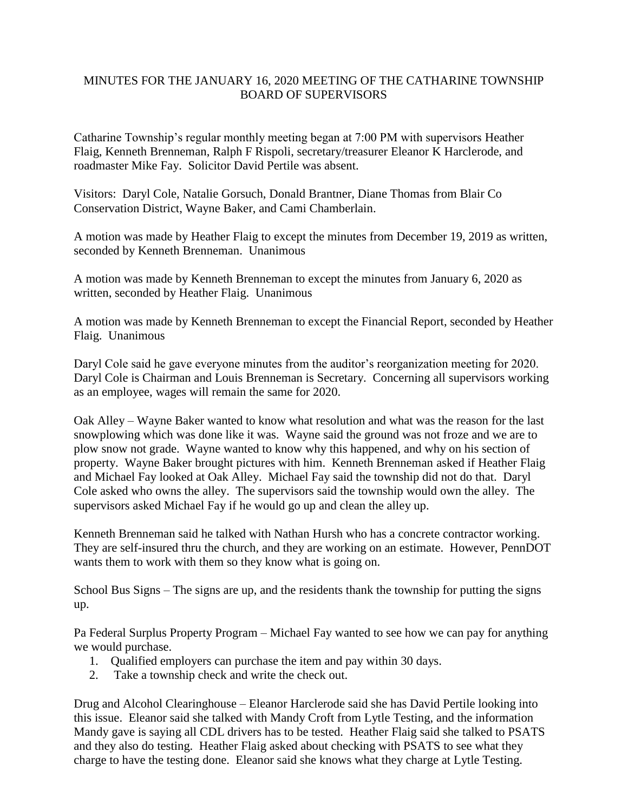## MINUTES FOR THE JANUARY 16, 2020 MEETING OF THE CATHARINE TOWNSHIP BOARD OF SUPERVISORS

Catharine Township's regular monthly meeting began at 7:00 PM with supervisors Heather Flaig, Kenneth Brenneman, Ralph F Rispoli, secretary/treasurer Eleanor K Harclerode, and roadmaster Mike Fay. Solicitor David Pertile was absent.

Visitors: Daryl Cole, Natalie Gorsuch, Donald Brantner, Diane Thomas from Blair Co Conservation District, Wayne Baker, and Cami Chamberlain.

A motion was made by Heather Flaig to except the minutes from December 19, 2019 as written, seconded by Kenneth Brenneman. Unanimous

A motion was made by Kenneth Brenneman to except the minutes from January 6, 2020 as written, seconded by Heather Flaig. Unanimous

A motion was made by Kenneth Brenneman to except the Financial Report, seconded by Heather Flaig. Unanimous

Daryl Cole said he gave everyone minutes from the auditor's reorganization meeting for 2020. Daryl Cole is Chairman and Louis Brenneman is Secretary. Concerning all supervisors working as an employee, wages will remain the same for 2020.

Oak Alley – Wayne Baker wanted to know what resolution and what was the reason for the last snowplowing which was done like it was. Wayne said the ground was not froze and we are to plow snow not grade. Wayne wanted to know why this happened, and why on his section of property. Wayne Baker brought pictures with him. Kenneth Brenneman asked if Heather Flaig and Michael Fay looked at Oak Alley. Michael Fay said the township did not do that. Daryl Cole asked who owns the alley. The supervisors said the township would own the alley. The supervisors asked Michael Fay if he would go up and clean the alley up.

Kenneth Brenneman said he talked with Nathan Hursh who has a concrete contractor working. They are self-insured thru the church, and they are working on an estimate. However, PennDOT wants them to work with them so they know what is going on.

School Bus Signs – The signs are up, and the residents thank the township for putting the signs up.

Pa Federal Surplus Property Program – Michael Fay wanted to see how we can pay for anything we would purchase.

- 1. Qualified employers can purchase the item and pay within 30 days.
- 2. Take a township check and write the check out.

Drug and Alcohol Clearinghouse – Eleanor Harclerode said she has David Pertile looking into this issue. Eleanor said she talked with Mandy Croft from Lytle Testing, and the information Mandy gave is saying all CDL drivers has to be tested. Heather Flaig said she talked to PSATS and they also do testing. Heather Flaig asked about checking with PSATS to see what they charge to have the testing done. Eleanor said she knows what they charge at Lytle Testing.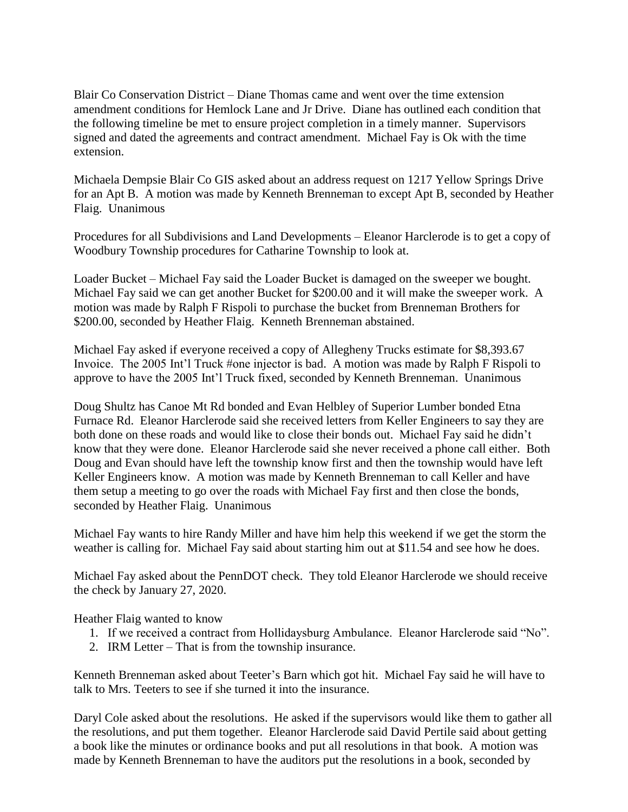Blair Co Conservation District – Diane Thomas came and went over the time extension amendment conditions for Hemlock Lane and Jr Drive. Diane has outlined each condition that the following timeline be met to ensure project completion in a timely manner. Supervisors signed and dated the agreements and contract amendment. Michael Fay is Ok with the time extension.

Michaela Dempsie Blair Co GIS asked about an address request on 1217 Yellow Springs Drive for an Apt B. A motion was made by Kenneth Brenneman to except Apt B, seconded by Heather Flaig. Unanimous

Procedures for all Subdivisions and Land Developments – Eleanor Harclerode is to get a copy of Woodbury Township procedures for Catharine Township to look at.

Loader Bucket – Michael Fay said the Loader Bucket is damaged on the sweeper we bought. Michael Fay said we can get another Bucket for \$200.00 and it will make the sweeper work. A motion was made by Ralph F Rispoli to purchase the bucket from Brenneman Brothers for \$200.00, seconded by Heather Flaig. Kenneth Brenneman abstained.

Michael Fay asked if everyone received a copy of Allegheny Trucks estimate for \$8,393.67 Invoice. The 2005 Int'l Truck #one injector is bad. A motion was made by Ralph F Rispoli to approve to have the 2005 Int'l Truck fixed, seconded by Kenneth Brenneman. Unanimous

Doug Shultz has Canoe Mt Rd bonded and Evan Helbley of Superior Lumber bonded Etna Furnace Rd. Eleanor Harclerode said she received letters from Keller Engineers to say they are both done on these roads and would like to close their bonds out. Michael Fay said he didn't know that they were done. Eleanor Harclerode said she never received a phone call either. Both Doug and Evan should have left the township know first and then the township would have left Keller Engineers know. A motion was made by Kenneth Brenneman to call Keller and have them setup a meeting to go over the roads with Michael Fay first and then close the bonds, seconded by Heather Flaig. Unanimous

Michael Fay wants to hire Randy Miller and have him help this weekend if we get the storm the weather is calling for. Michael Fay said about starting him out at \$11.54 and see how he does.

Michael Fay asked about the PennDOT check. They told Eleanor Harclerode we should receive the check by January 27, 2020.

Heather Flaig wanted to know

- 1. If we received a contract from Hollidaysburg Ambulance. Eleanor Harclerode said "No".
- 2. IRM Letter That is from the township insurance.

Kenneth Brenneman asked about Teeter's Barn which got hit. Michael Fay said he will have to talk to Mrs. Teeters to see if she turned it into the insurance.

Daryl Cole asked about the resolutions. He asked if the supervisors would like them to gather all the resolutions, and put them together. Eleanor Harclerode said David Pertile said about getting a book like the minutes or ordinance books and put all resolutions in that book. A motion was made by Kenneth Brenneman to have the auditors put the resolutions in a book, seconded by